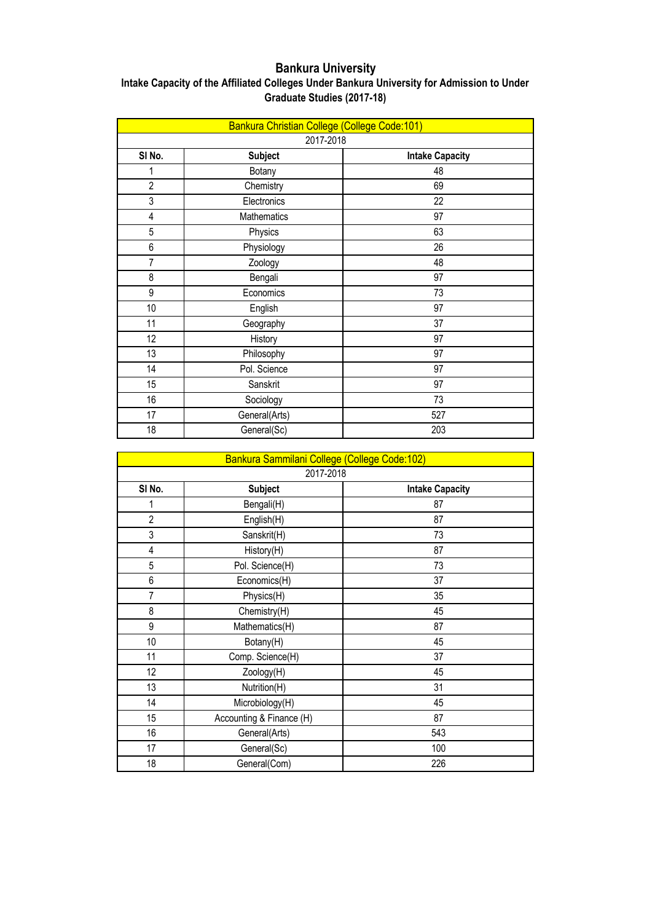## **Bankura University**

| Intake Capacity of the Affiliated Colleges Under Bankura University for Admission to Under |
|--------------------------------------------------------------------------------------------|
| Graduate Studies (2017-18)                                                                 |

| Bankura Christian College (College Code:101) |                |                        |
|----------------------------------------------|----------------|------------------------|
| 2017-2018                                    |                |                        |
| SI No.                                       | <b>Subject</b> | <b>Intake Capacity</b> |
| 1                                            | Botany         | 48                     |
| $\overline{2}$                               | Chemistry      | 69                     |
| 3                                            | Electronics    | 22                     |
| 4                                            | Mathematics    | 97                     |
| 5                                            | Physics        | 63                     |
| 6                                            | Physiology     | 26                     |
| $\overline{7}$                               | Zoology        | 48                     |
| 8                                            | Bengali        | 97                     |
| 9                                            | Economics      | 73                     |
| 10                                           | English        | 97                     |
| 11                                           | Geography      | 37                     |
| 12                                           | History        | 97                     |
| 13                                           | Philosophy     | 97                     |
| 14                                           | Pol. Science   | 97                     |
| 15                                           | Sanskrit       | 97                     |
| 16                                           | Sociology      | 73                     |
| 17                                           | General(Arts)  | 527                    |
| 18                                           | General(Sc)    | 203                    |

|                | Bankura Sammilani College (College Code:102)<br>2017-2018 |                        |  |
|----------------|-----------------------------------------------------------|------------------------|--|
|                |                                                           |                        |  |
| SI No.         | <b>Subject</b>                                            | <b>Intake Capacity</b> |  |
| 1              | Bengali(H)                                                | 87                     |  |
| $\overline{2}$ | English(H)                                                | 87                     |  |
| 3              | Sanskrit(H)                                               | 73                     |  |
| 4              | History(H)                                                | 87                     |  |
| $\overline{5}$ | Pol. Science(H)                                           | 73                     |  |
| 6              | Economics(H)                                              | 37                     |  |
| $\overline{I}$ | Physics(H)                                                | 35                     |  |
| 8              | Chemistry(H)                                              | 45                     |  |
| 9              | Mathematics(H)                                            | 87                     |  |
| 10             | Botany(H)                                                 | 45                     |  |
| 11             | Comp. Science(H)                                          | 37                     |  |
| 12             | Zoology(H)                                                | 45                     |  |
| 13             | Nutrition(H)                                              | 31                     |  |
| 14             | Microbiology(H)                                           | 45                     |  |
| 15             | Accounting & Finance (H)                                  | 87                     |  |
| 16             | General(Arts)                                             | 543                    |  |
| 17             | General(Sc)                                               | 100                    |  |
| 18             | General(Com)                                              | 226                    |  |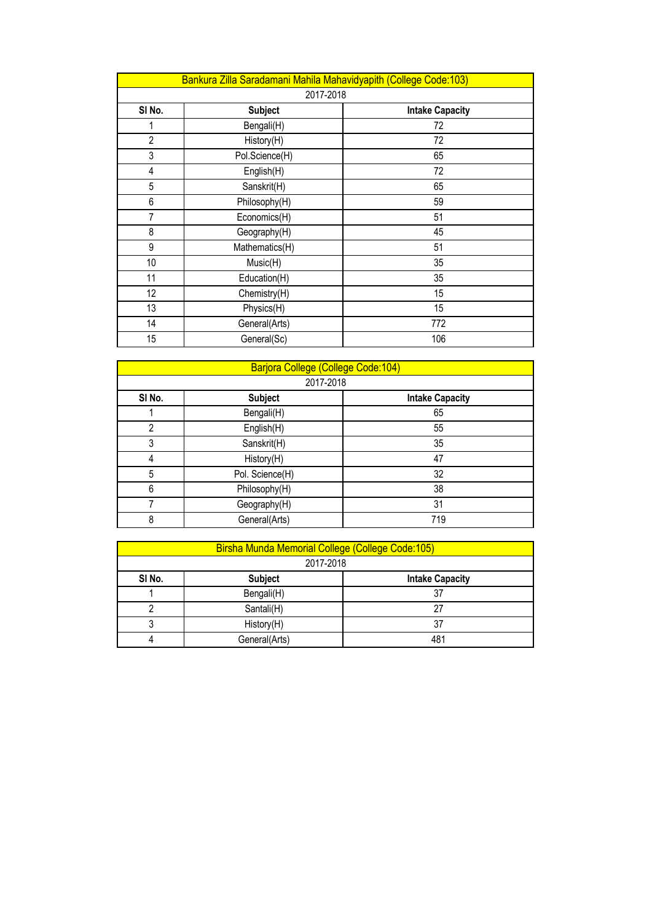| Bankura Zilla Saradamani Mahila Mahavidyapith (College Code:103) |                |                        |  |
|------------------------------------------------------------------|----------------|------------------------|--|
|                                                                  | 2017-2018      |                        |  |
| SI No.                                                           | <b>Subject</b> | <b>Intake Capacity</b> |  |
| 1                                                                | Bengali(H)     | 72                     |  |
| $\overline{2}$                                                   | History(H)     | 72                     |  |
| 3                                                                | Pol.Science(H) | 65                     |  |
| 4                                                                | English(H)     | 72                     |  |
| 5                                                                | Sanskrit(H)    | 65                     |  |
| 6                                                                | Philosophy(H)  | 59                     |  |
| 7                                                                | Economics(H)   | 51                     |  |
| 8                                                                | Geography(H)   | 45                     |  |
| 9                                                                | Mathematics(H) | 51                     |  |
| 10                                                               | Music(H)       | 35                     |  |
| 11                                                               | Education(H)   | 35                     |  |
| 12                                                               | Chemistry(H)   | 15                     |  |
| 13                                                               | Physics(H)     | 15                     |  |
| 14                                                               | General(Arts)  | 772                    |  |
| 15                                                               | General(Sc)    | 106                    |  |

|                | Barjora College (College Code:104) |                        |  |
|----------------|------------------------------------|------------------------|--|
|                | 2017-2018                          |                        |  |
| SI No.         | <b>Subject</b>                     | <b>Intake Capacity</b> |  |
|                | Bengali(H)                         | 65                     |  |
| $\overline{2}$ | English(H)                         | 55                     |  |
| 3              | Sanskrit(H)                        | 35                     |  |
| 4              | History(H)                         | 47                     |  |
| 5              | Pol. Science(H)                    | 32                     |  |
| 6              | Philosophy(H)                      | 38                     |  |
|                | Geography(H)                       | 31                     |  |
| 8              | General(Arts)                      | 719                    |  |

|        | Birsha Munda Memorial College (College Code:105) |     |  |
|--------|--------------------------------------------------|-----|--|
|        | 2017-2018                                        |     |  |
| SI No. | <b>Subject</b><br><b>Intake Capacity</b>         |     |  |
|        | Bengali(H)                                       | 37  |  |
| ∩      | Santali(H)                                       | 27  |  |
| 3      | History(H)                                       | 37  |  |
| 4      | General(Arts)                                    | 481 |  |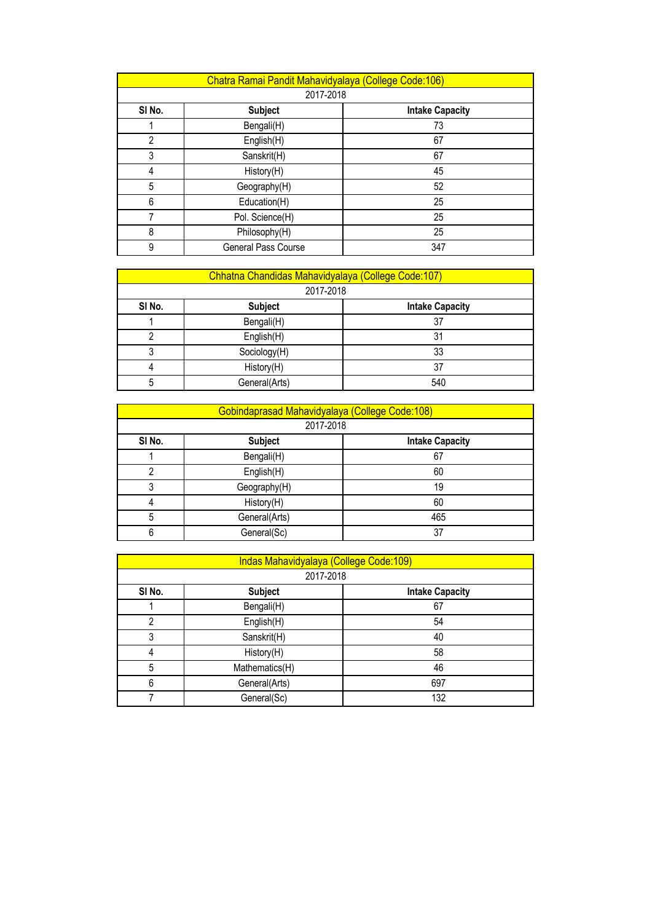|                | Chatra Ramai Pandit Mahavidyalaya (College Code:106) |                        |  |
|----------------|------------------------------------------------------|------------------------|--|
|                | 2017-2018                                            |                        |  |
| SI No.         | <b>Subject</b>                                       | <b>Intake Capacity</b> |  |
|                | Bengali(H)                                           | 73                     |  |
| $\overline{2}$ | English(H)                                           | 67                     |  |
| 3              | Sanskrit(H)                                          | 67                     |  |
| 4              | History(H)                                           | 45                     |  |
| 5              | Geography(H)                                         | 52                     |  |
| 6              | Education(H)                                         | 25                     |  |
| 7              | Pol. Science(H)                                      | 25                     |  |
| 8              | Philosophy(H)                                        | 25                     |  |
| 9              | General Pass Course                                  | 347                    |  |

|                                                    | Chhatna Chandidas Mahavidyalaya (College Code: 107) |     |  |
|----------------------------------------------------|-----------------------------------------------------|-----|--|
|                                                    | 2017-2018                                           |     |  |
| SI No.<br><b>Subject</b><br><b>Intake Capacity</b> |                                                     |     |  |
|                                                    | Bengali(H)                                          | 37  |  |
|                                                    | English(H)                                          | 31  |  |
| 3                                                  | Sociology(H)                                        | 33  |  |
| 4                                                  | History(H)                                          | 37  |  |
| 5                                                  | General(Arts)                                       | 540 |  |

| Gobindaprasad Mahavidyalaya (College Code:108) |                |                        |  |
|------------------------------------------------|----------------|------------------------|--|
|                                                | 2017-2018      |                        |  |
| SI No.                                         | <b>Subject</b> | <b>Intake Capacity</b> |  |
|                                                | Bengali(H)     | 67                     |  |
| າ                                              | English(H)     | 60                     |  |
| 3                                              | Geography(H)   | 19                     |  |
| 4                                              | History(H)     | 60                     |  |
| 5                                              | General(Arts)  | 465                    |  |
| 6                                              | General(Sc)    | 37                     |  |

|        | Indas Mahavidyalaya (College Code:109)<br>2017-2018 |                        |  |
|--------|-----------------------------------------------------|------------------------|--|
|        |                                                     |                        |  |
| SI No. | <b>Subject</b>                                      | <b>Intake Capacity</b> |  |
|        | Bengali(H)                                          | 67                     |  |
| 2      | English(H)                                          | 54                     |  |
| 3      | Sanskrit(H)                                         | 40                     |  |
| 4      | History(H)                                          | 58                     |  |
| 5      | Mathematics(H)                                      | 46                     |  |
| 6      | General(Arts)                                       | 697                    |  |
|        | General(Sc)                                         | 132                    |  |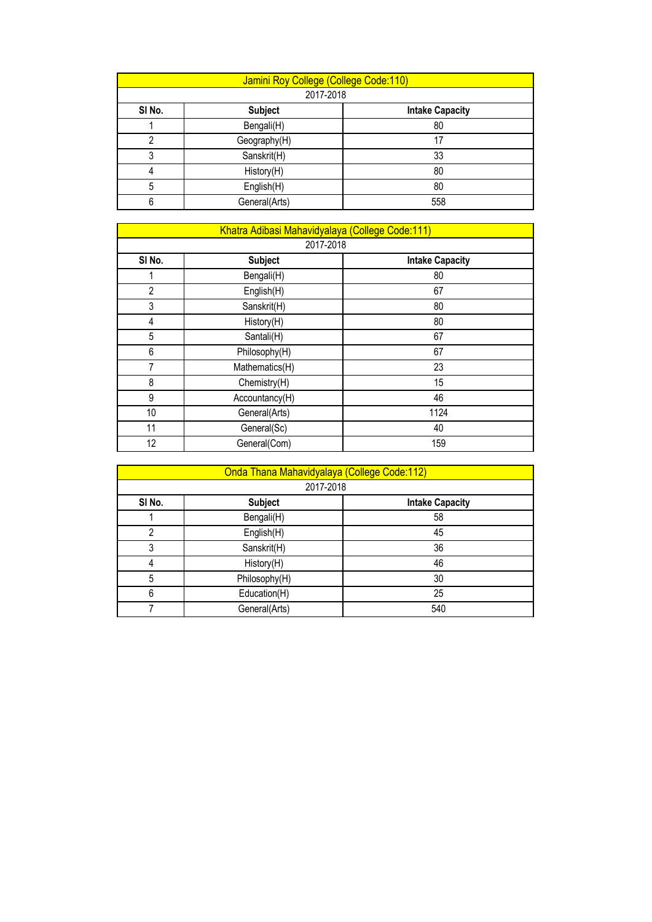|        | Jamini Roy College (College Code:110) |                        |  |  |
|--------|---------------------------------------|------------------------|--|--|
|        | 2017-2018                             |                        |  |  |
| SI No. | <b>Subject</b>                        | <b>Intake Capacity</b> |  |  |
|        | Bengali(H)                            | 80                     |  |  |
| 2      | Geography(H)                          | 17                     |  |  |
| 3      | Sanskrit(H)                           | 33                     |  |  |
| 4      | History(H)                            | 80                     |  |  |
| 5      | English(H)                            | 80                     |  |  |
| 6      | General(Arts)                         | 558                    |  |  |

| Khatra Adibasi Mahavidyalaya (College Code:111) |                |                        |  |  |
|-------------------------------------------------|----------------|------------------------|--|--|
|                                                 | 2017-2018      |                        |  |  |
| SI No.                                          | <b>Subject</b> | <b>Intake Capacity</b> |  |  |
|                                                 | Bengali(H)     | 80                     |  |  |
| $\overline{2}$                                  | English(H)     | 67                     |  |  |
| 3                                               | Sanskrit(H)    | 80                     |  |  |
| 4                                               | History(H)     | 80                     |  |  |
| 5                                               | Santali(H)     | 67                     |  |  |
| 6                                               | Philosophy(H)  | 67                     |  |  |
| 7                                               | Mathematics(H) | 23                     |  |  |
| 8                                               | Chemistry(H)   | 15                     |  |  |
| 9                                               | Accountancy(H) | 46                     |  |  |
| 10                                              | General(Arts)  | 1124                   |  |  |
| 11                                              | General(Sc)    | 40                     |  |  |
| 12                                              | General(Com)   | 159                    |  |  |

|        | Onda Thana Mahavidyalaya (College Code:112)<br>2017-2018 |                        |  |
|--------|----------------------------------------------------------|------------------------|--|
|        |                                                          |                        |  |
| SI No. | <b>Subject</b>                                           | <b>Intake Capacity</b> |  |
|        | Bengali(H)                                               | 58                     |  |
| 2      | English(H)                                               | 45                     |  |
| 3      | Sanskrit(H)                                              | 36                     |  |
| 4      | History(H)                                               | 46                     |  |
| 5      | Philosophy(H)                                            | 30                     |  |
| 6      | Education(H)                                             | 25                     |  |
|        | General(Arts)                                            | 540                    |  |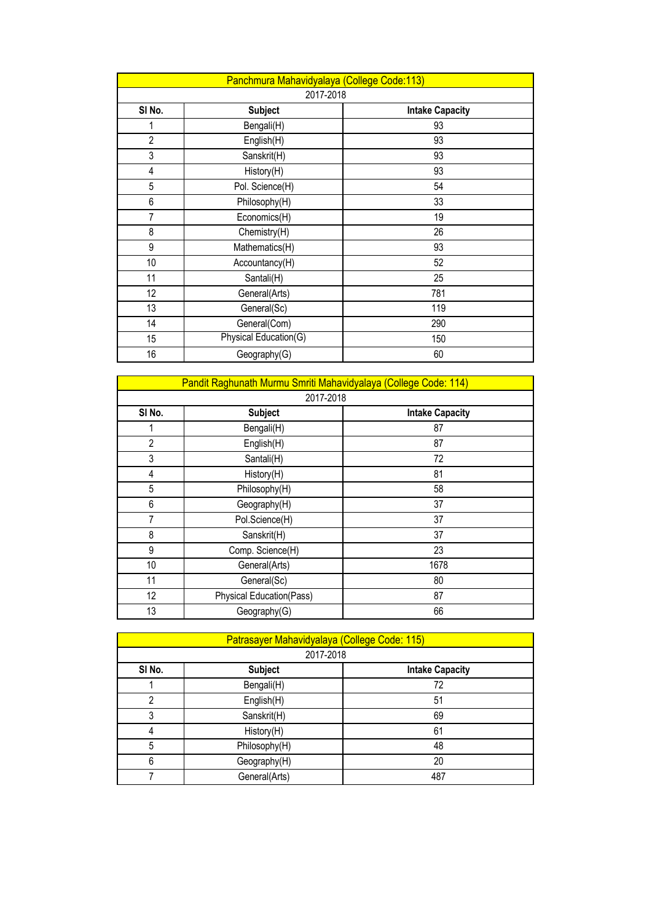| Panchmura Mahavidyalaya (College Code:113) |                       |                        |  |
|--------------------------------------------|-----------------------|------------------------|--|
|                                            | 2017-2018             |                        |  |
| SI No.                                     | <b>Subject</b>        | <b>Intake Capacity</b> |  |
| 1                                          | Bengali(H)            | 93                     |  |
| $\overline{2}$                             | English(H)            | 93                     |  |
| 3                                          | Sanskrit(H)           | 93                     |  |
| 4                                          | History(H)            | 93                     |  |
| 5                                          | Pol. Science(H)       | 54                     |  |
| 6                                          | Philosophy(H)         | 33                     |  |
| $\overline{7}$                             | Economics(H)          | 19                     |  |
| 8                                          | Chemistry(H)          | 26                     |  |
| 9                                          | Mathematics(H)        | 93                     |  |
| 10                                         | Accountancy(H)        | 52                     |  |
| 11                                         | Santali(H)            | 25                     |  |
| 12                                         | General(Arts)         | 781                    |  |
| 13                                         | General(Sc)           | 119                    |  |
| 14                                         | General(Com)          | 290                    |  |
| 15                                         | Physical Education(G) | 150                    |  |
| 16                                         | Geography(G)          | 60                     |  |

|                | Pandit Raghunath Murmu Smriti Mahavidyalaya (College Code: 114) |                        |  |
|----------------|-----------------------------------------------------------------|------------------------|--|
|                | 2017-2018                                                       |                        |  |
| SI No.         | <b>Subject</b>                                                  | <b>Intake Capacity</b> |  |
| 1              | Bengali(H)                                                      | 87                     |  |
| $\overline{2}$ | English(H)                                                      | 87                     |  |
| 3              | Santali(H)                                                      | 72                     |  |
| 4              | History(H)                                                      | 81                     |  |
| 5              | Philosophy(H)                                                   | 58                     |  |
| 6              | Geography(H)                                                    | 37                     |  |
| 7              | Pol.Science(H)                                                  | 37                     |  |
| 8              | Sanskrit(H)                                                     | 37                     |  |
| 9              | Comp. Science(H)                                                | 23                     |  |
| 10             | General(Arts)                                                   | 1678                   |  |
| 11             | General(Sc)                                                     | 80                     |  |
| 12             | <b>Physical Education(Pass)</b>                                 | 87                     |  |
| 13             | Geography(G)                                                    | 66                     |  |

| Patrasayer Mahavidyalaya (College Code: 115) |                |                        |  |
|----------------------------------------------|----------------|------------------------|--|
|                                              | 2017-2018      |                        |  |
| SI No.                                       | <b>Subject</b> | <b>Intake Capacity</b> |  |
|                                              | Bengali(H)     | 72                     |  |
| $\mathfrak{p}$                               | English(H)     | 51                     |  |
| 3                                            | Sanskrit(H)    | 69                     |  |
| 4                                            | History(H)     | 61                     |  |
| 5                                            | Philosophy(H)  | 48                     |  |
| 6                                            | Geography(H)   | 20                     |  |
|                                              | General(Arts)  | 487                    |  |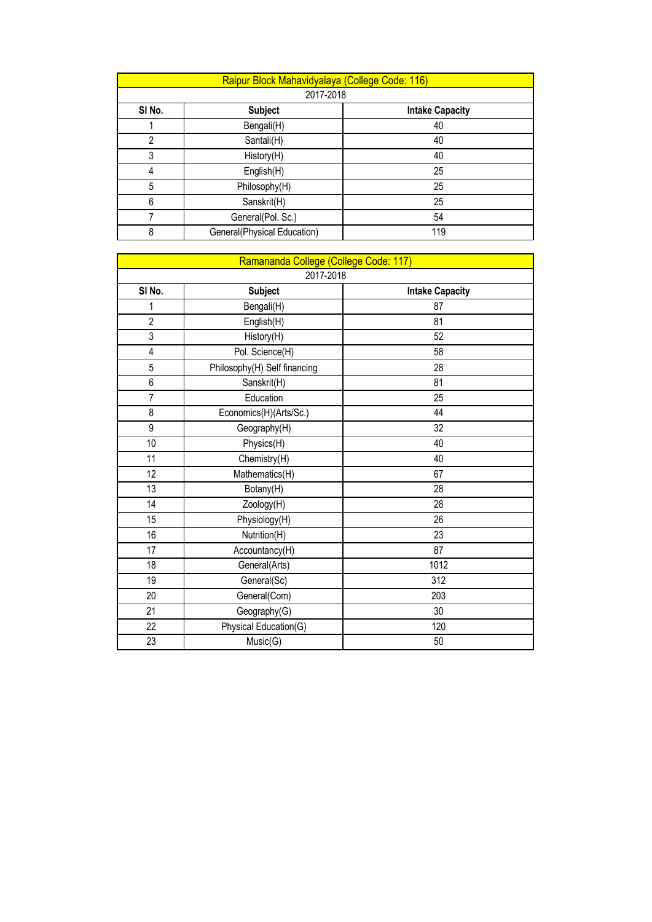|        | Raipur Block Mahavidyalaya (College Code: 116) |                        |  |
|--------|------------------------------------------------|------------------------|--|
|        | 2017-2018                                      |                        |  |
| SI No. | <b>Subject</b>                                 | <b>Intake Capacity</b> |  |
|        | Bengali(H)                                     | 40                     |  |
| 2      | Santali(H)                                     | 40                     |  |
| 3      | History(H)                                     | 40                     |  |
| 4      | English(H)                                     | 25                     |  |
| 5      | Philosophy(H)                                  | 25                     |  |
| 6      | Sanskrit(H)                                    | 25                     |  |
|        | General(Pol. Sc.)                              | 54                     |  |
| 8      | General(Physical Education)                    | 119                    |  |

| Ramananda College (College Code: 117) |                              |                        |
|---------------------------------------|------------------------------|------------------------|
| 2017-2018                             |                              |                        |
| SI No.                                | <b>Subject</b>               | <b>Intake Capacity</b> |
| 1                                     | Bengali(H)                   | 87                     |
| $\overline{2}$                        | English(H)                   | 81                     |
| $\overline{3}$                        | History(H)                   | 52                     |
| $\overline{4}$                        | Pol. Science(H)              | 58                     |
| $\overline{5}$                        | Philosophy(H) Self financing | 28                     |
| 6                                     | Sanskrit(H)                  | 81                     |
| $\overline{1}$                        | Education                    | 25                     |
| 8                                     | Economics(H)(Arts/Sc.)       | 44                     |
| 9                                     | Geography(H)                 | 32                     |
| 10                                    | Physics(H)                   | 40                     |
| 11                                    | Chemistry(H)                 | 40                     |
| 12                                    | Mathematics(H)               | 67                     |
| 13                                    | Botany(H)                    | 28                     |
| 14                                    | Zoology(H)                   | 28                     |
| 15                                    | Physiology(H)                | 26                     |
| 16                                    | Nutrition(H)                 | 23                     |
| 17                                    | Accountancy(H)               | 87                     |
| 18                                    | General(Arts)                | 1012                   |
| 19                                    | General(Sc)                  | 312                    |
| 20                                    | General(Com)                 | 203                    |
| 21                                    | Geography(G)                 | 30                     |
| 22                                    | Physical Education(G)        | 120                    |
| 23                                    | Music(G)                     | 50                     |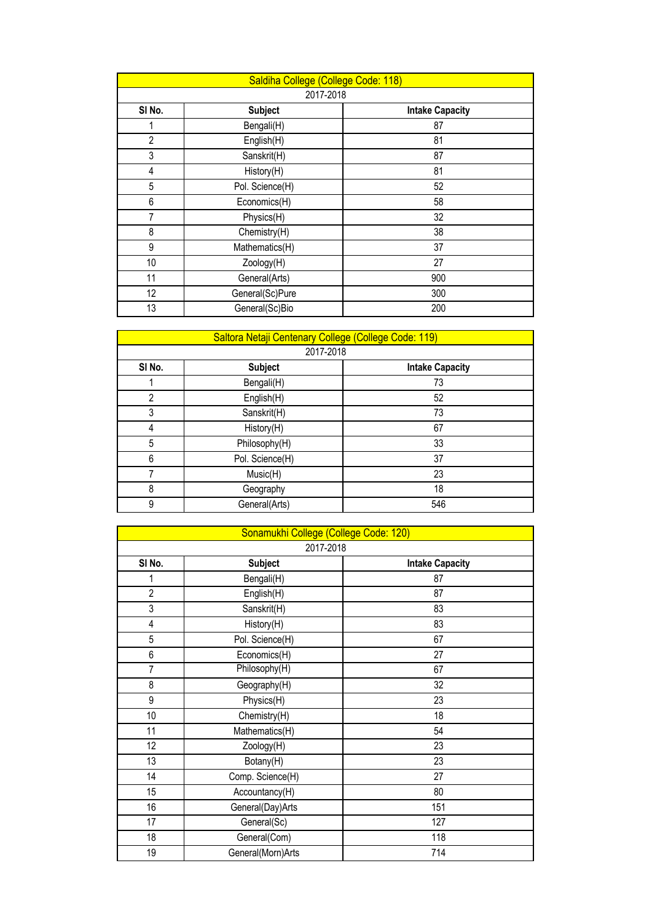| Saldiha College (College Code: 118) |                 |                        |  |
|-------------------------------------|-----------------|------------------------|--|
|                                     | 2017-2018       |                        |  |
| SI No.                              | <b>Subject</b>  | <b>Intake Capacity</b> |  |
|                                     | Bengali(H)      | 87                     |  |
| $\overline{2}$                      | English(H)      | 81                     |  |
| 3                                   | Sanskrit(H)     | 87                     |  |
| 4                                   | History(H)      | 81                     |  |
| 5                                   | Pol. Science(H) | 52                     |  |
| 6                                   | Economics(H)    | 58                     |  |
| 7                                   | Physics(H)      | 32                     |  |
| 8                                   | Chemistry(H)    | 38                     |  |
| 9                                   | Mathematics(H)  | 37                     |  |
| 10                                  | Zoology(H)      | 27                     |  |
| 11                                  | General(Arts)   | 900                    |  |
| 12                                  | General(Sc)Pure | 300                    |  |
| 13                                  | General(Sc)Bio  | 200                    |  |

|                | Saltora Netaji Centenary College (College Code: 119) |                        |  |  |
|----------------|------------------------------------------------------|------------------------|--|--|
|                | 2017-2018                                            |                        |  |  |
| SI No.         | <b>Subject</b>                                       | <b>Intake Capacity</b> |  |  |
|                | Bengali(H)                                           | 73                     |  |  |
| $\overline{2}$ | English(H)                                           | 52                     |  |  |
| 3              | Sanskrit(H)                                          | 73                     |  |  |
| 4              | History(H)                                           | 67                     |  |  |
| 5              | Philosophy(H)                                        | 33                     |  |  |
| 6              | Pol. Science(H)                                      | 37                     |  |  |
| 7              | Music(H)                                             | 23                     |  |  |
| 8              | Geography                                            | 18                     |  |  |
| 9              | General(Arts)                                        | 546                    |  |  |

| Sonamukhi College (College Code: 120) |                   |                        |
|---------------------------------------|-------------------|------------------------|
| 2017-2018                             |                   |                        |
| SI No.                                | <b>Subject</b>    | <b>Intake Capacity</b> |
| 1                                     | Bengali(H)        | 87                     |
| $\overline{2}$                        | English(H)        | 87                     |
| 3                                     | Sanskrit(H)       | 83                     |
| 4                                     | History(H)        | 83                     |
| 5                                     | Pol. Science(H)   | 67                     |
| 6                                     | Economics(H)      | 27                     |
| $\overline{7}$                        | Philosophy(H)     | 67                     |
| 8                                     | Geography(H)      | 32                     |
| 9                                     | Physics(H)        | 23                     |
| 10                                    | Chemistry(H)      | 18                     |
| 11                                    | Mathematics(H)    | 54                     |
| 12                                    | Zoology(H)        | 23                     |
| 13                                    | Botany(H)         | 23                     |
| 14                                    | Comp. Science(H)  | 27                     |
| 15                                    | Accountancy(H)    | 80                     |
| 16                                    | General(Day)Arts  | 151                    |
| 17                                    | General(Sc)       | 127                    |
| 18                                    | General(Com)      | 118                    |
| 19                                    | General(Morn)Arts | 714                    |